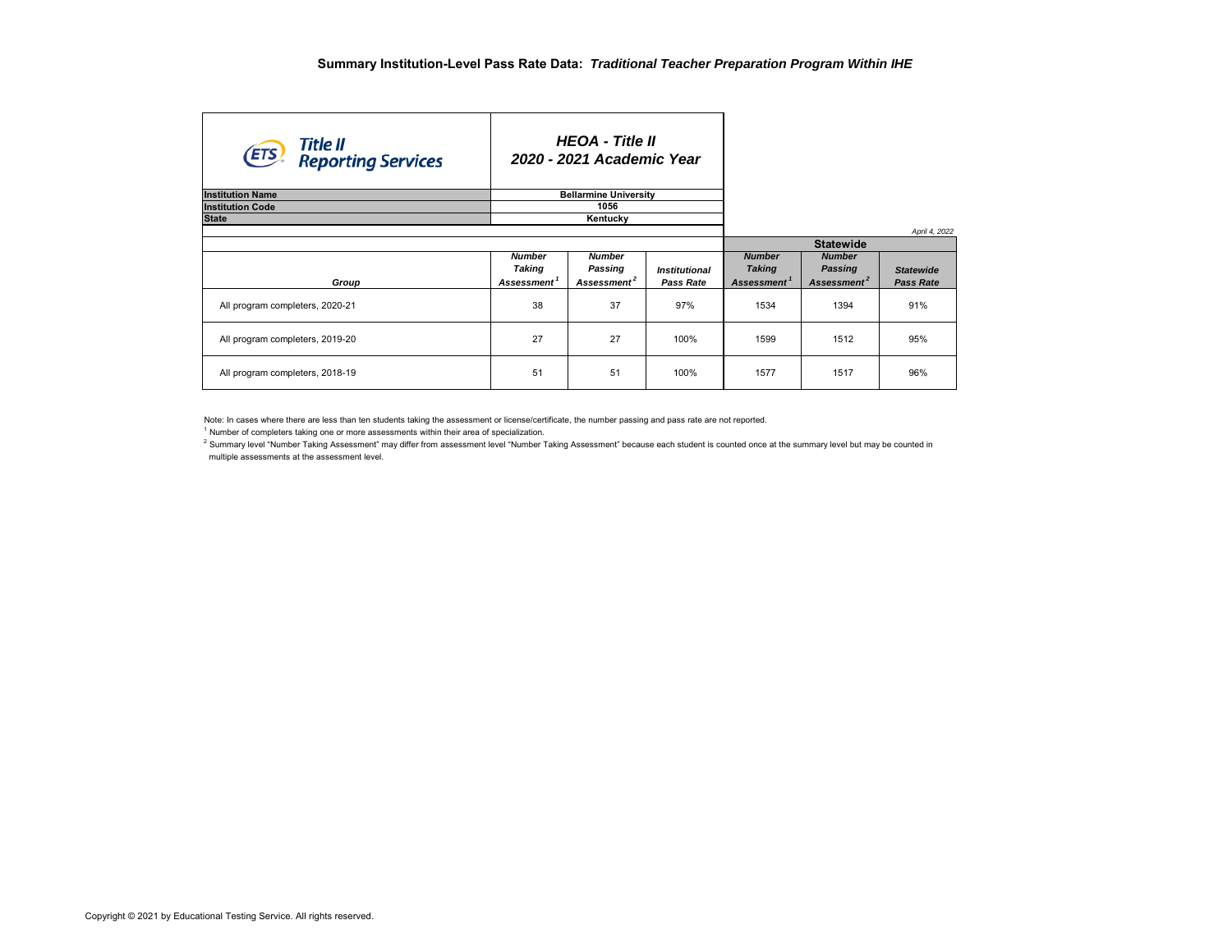| Title II<br><b>ETS</b> Reporting Services |                                                    | <b>HEOA</b> - Title II<br>2020 - 2021 Academic Year |                            |                                                           |                                                     |                                      |
|-------------------------------------------|----------------------------------------------------|-----------------------------------------------------|----------------------------|-----------------------------------------------------------|-----------------------------------------------------|--------------------------------------|
| <b>Institution Name</b>                   | <b>Bellarmine University</b>                       |                                                     |                            |                                                           |                                                     |                                      |
| <b>Institution Code</b>                   | 1056                                               |                                                     |                            |                                                           |                                                     |                                      |
| <b>State</b>                              | Kentucky                                           |                                                     |                            |                                                           |                                                     |                                      |
|                                           |                                                    |                                                     |                            |                                                           | <b>Statewide</b>                                    | April 4, 2022                        |
| Group                                     | <b>Number</b><br>Taking<br>Assessment <sup>1</sup> | <b>Number</b><br>Passing<br>Assessment <sup>2</sup> | Institutional<br>Pass Rate | <b>Number</b><br><b>Taking</b><br>Assessment <sup>1</sup> | <b>Number</b><br>Passing<br>Assessment <sup>2</sup> | <b>Statewide</b><br><b>Pass Rate</b> |
| All program completers, 2020-21           | 38                                                 | 37                                                  | 97%                        | 1534                                                      | 1394                                                | 91%                                  |
| All program completers, 2019-20           | 27                                                 | 27                                                  | 100%                       | 1599                                                      | 1512                                                | 95%                                  |
| All program completers, 2018-19           | 51                                                 | 51                                                  | 100%                       | 1577                                                      | 1517                                                | 96%                                  |

Note: In cases where there are less than ten students taking the assessment or license/certificate, the number passing and pass rate are not reported.

<sup>1</sup> Number of completers taking one or more assessments within their area of specialization.

<sup>2</sup> Summary level "Number Taking Assessment" may differ from assessment level "Number Taking Assessment" because each student is counted once at the summary level but may be counted in multiple assessments at the assessment level.